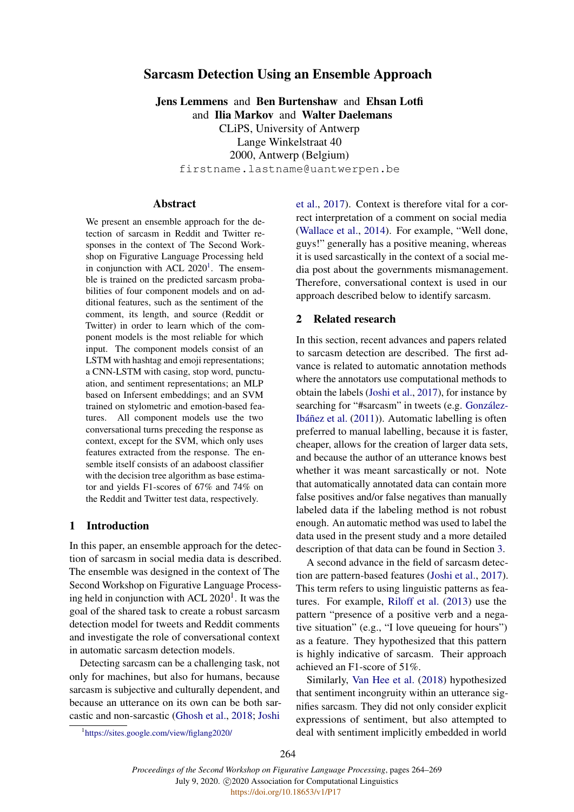# Sarcasm Detection Using an Ensemble Approach

Jens Lemmens and Ben Burtenshaw and Ehsan Lotfi and Ilia Markov and Walter Daelemans CLiPS, University of Antwerp Lange Winkelstraat 40 2000, Antwerp (Belgium) firstname.lastname@uantwerpen.be

# **Abstract**

We present an ensemble approach for the detection of sarcasm in Reddit and Twitter responses in the context of The Second Workshop on Figurative Language Processing held in conjunction with ACL  $2020<sup>1</sup>$  $2020<sup>1</sup>$  $2020<sup>1</sup>$ . The ensemble is trained on the predicted sarcasm probabilities of four component models and on additional features, such as the sentiment of the comment, its length, and source (Reddit or Twitter) in order to learn which of the component models is the most reliable for which input. The component models consist of an LSTM with hashtag and emoji representations; a CNN-LSTM with casing, stop word, punctuation, and sentiment representations; an MLP based on Infersent embeddings; and an SVM trained on stylometric and emotion-based features. All component models use the two conversational turns preceding the response as context, except for the SVM, which only uses features extracted from the response. The ensemble itself consists of an adaboost classifier with the decision tree algorithm as base estimator and yields F1-scores of 67% and 74% on the Reddit and Twitter test data, respectively.

# 1 Introduction

In this paper, an ensemble approach for the detection of sarcasm in social media data is described. The ensemble was designed in the context of The Second Workshop on Figurative Language Processing held in conjunction with ACL  $2020<sup>1</sup>$ . It was the goal of the shared task to create a robust sarcasm detection model for tweets and Reddit comments and investigate the role of conversational context in automatic sarcasm detection models.

Detecting sarcasm can be a challenging task, not only for machines, but also for humans, because sarcasm is subjective and culturally dependent, and because an utterance on its own can be both sarcastic and non-sarcastic [\(Ghosh et al.,](#page-4-0) [2018;](#page-4-0) [Joshi](#page-4-1)

[et al.,](#page-4-1) [2017\)](#page-4-1). Context is therefore vital for a correct interpretation of a comment on social media [\(Wallace et al.,](#page-5-0) [2014\)](#page-5-0). For example, "Well done, guys!" generally has a positive meaning, whereas it is used sarcastically in the context of a social media post about the governments mismanagement. Therefore, conversational context is used in our approach described below to identify sarcasm.

## 2 Related research

In this section, recent advances and papers related to sarcasm detection are described. The first advance is related to automatic annotation methods where the annotators use computational methods to obtain the labels [\(Joshi et al.,](#page-4-1) [2017\)](#page-4-1), for instance by searching for "#sarcasm" in tweets (e.g. González-Ibáñez et al.  $(2011)$ ). Automatic labelling is often preferred to manual labelling, because it is faster, cheaper, allows for the creation of larger data sets, and because the author of an utterance knows best whether it was meant sarcastically or not. Note that automatically annotated data can contain more false positives and/or false negatives than manually labeled data if the labeling method is not robust enough. An automatic method was used to label the data used in the present study and a more detailed description of that data can be found in Section [3.](#page-1-0)

A second advance in the field of sarcasm detection are pattern-based features [\(Joshi et al.,](#page-4-1) [2017\)](#page-4-1). This term refers to using linguistic patterns as features. For example, [Riloff et al.](#page-4-3) [\(2013\)](#page-4-3) use the pattern "presence of a positive verb and a negative situation" (e.g., "I love queueing for hours") as a feature. They hypothesized that this pattern is highly indicative of sarcasm. Their approach achieved an F1-score of 51%.

Similarly, [Van Hee et al.](#page-5-1) [\(2018\)](#page-5-1) hypothesized that sentiment incongruity within an utterance signifies sarcasm. They did not only consider explicit expressions of sentiment, but also attempted to deal with sentiment implicitly embedded in world

<span id="page-0-0"></span><sup>1</sup> [https://sites.google.com/view/figlang2020/](#page-4-1)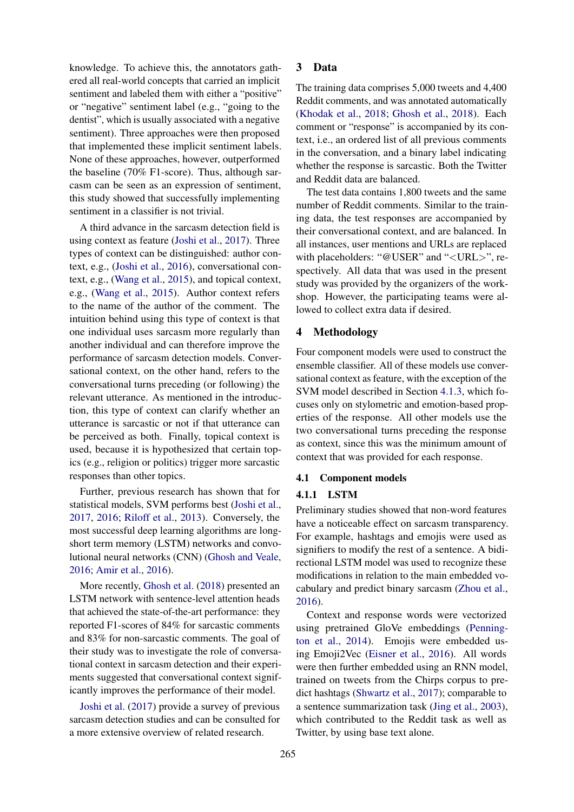knowledge. To achieve this, the annotators gathered all real-world concepts that carried an implicit sentiment and labeled them with either a "positive" or "negative" sentiment label (e.g., "going to the dentist", which is usually associated with a negative sentiment). Three approaches were then proposed that implemented these implicit sentiment labels. None of these approaches, however, outperformed the baseline (70% F1-score). Thus, although sarcasm can be seen as an expression of sentiment, this study showed that successfully implementing sentiment in a classifier is not trivial.

A third advance in the sarcasm detection field is using context as feature [\(Joshi et al.,](#page-4-1) [2017\)](#page-4-1). Three types of context can be distinguished: author context, e.g., [\(Joshi et al.,](#page-4-4) [2016\)](#page-4-4), conversational context, e.g., [\(Wang et al.,](#page-5-2) [2015\)](#page-5-2), and topical context, e.g., [\(Wang et al.,](#page-5-2) [2015\)](#page-5-2). Author context refers to the name of the author of the comment. The intuition behind using this type of context is that one individual uses sarcasm more regularly than another individual and can therefore improve the performance of sarcasm detection models. Conversational context, on the other hand, refers to the conversational turns preceding (or following) the relevant utterance. As mentioned in the introduction, this type of context can clarify whether an utterance is sarcastic or not if that utterance can be perceived as both. Finally, topical context is used, because it is hypothesized that certain topics (e.g., religion or politics) trigger more sarcastic responses than other topics.

Further, previous research has shown that for statistical models, SVM performs best [\(Joshi et al.,](#page-4-1) [2017,](#page-4-1) [2016;](#page-4-4) [Riloff et al.,](#page-4-3) [2013\)](#page-4-3). Conversely, the most successful deep learning algorithms are longshort term memory (LSTM) networks and convolutional neural networks (CNN) [\(Ghosh and Veale,](#page-4-5) [2016;](#page-4-5) [Amir et al.,](#page-4-6) [2016\)](#page-4-6).

More recently, [Ghosh et al.](#page-4-0) [\(2018\)](#page-4-0) presented an LSTM network with sentence-level attention heads that achieved the state-of-the-art performance: they reported F1-scores of 84% for sarcastic comments and 83% for non-sarcastic comments. The goal of their study was to investigate the role of conversational context in sarcasm detection and their experiments suggested that conversational context significantly improves the performance of their model.

[Joshi et al.](#page-4-1) [\(2017\)](#page-4-1) provide a survey of previous sarcasm detection studies and can be consulted for a more extensive overview of related research.

### <span id="page-1-0"></span>3 Data

The training data comprises 5,000 tweets and 4,400 Reddit comments, and was annotated automatically [\(Khodak et al.,](#page-4-7) [2018;](#page-4-7) [Ghosh et al.,](#page-4-0) [2018\)](#page-4-0). Each comment or "response" is accompanied by its context, i.e., an ordered list of all previous comments in the conversation, and a binary label indicating whether the response is sarcastic. Both the Twitter and Reddit data are balanced.

The test data contains 1,800 tweets and the same number of Reddit comments. Similar to the training data, the test responses are accompanied by their conversational context, and are balanced. In all instances, user mentions and URLs are replaced with placeholders: "@USER" and "<URL>", respectively. All data that was used in the present study was provided by the organizers of the workshop. However, the participating teams were allowed to collect extra data if desired.

## 4 Methodology

Four component models were used to construct the ensemble classifier. All of these models use conversational context as feature, with the exception of the SVM model described in Section [4.1.3,](#page-2-0) which focuses only on stylometric and emotion-based properties of the response. All other models use the two conversational turns preceding the response as context, since this was the minimum amount of context that was provided for each response.

#### 4.1 Component models

#### 4.1.1 LSTM

Preliminary studies showed that non-word features have a noticeable effect on sarcasm transparency. For example, hashtags and emojis were used as signifiers to modify the rest of a sentence. A bidirectional LSTM model was used to recognize these modifications in relation to the main embedded vocabulary and predict binary sarcasm [\(Zhou et al.,](#page-5-3) [2016\)](#page-5-3).

Context and response words were vectorized using pretrained GloVe embeddings [\(Penning](#page-4-8)[ton et al.,](#page-4-8) [2014\)](#page-4-8). Emojis were embedded using Emoji2Vec [\(Eisner et al.,](#page-4-9) [2016\)](#page-4-9). All words were then further embedded using an RNN model, trained on tweets from the Chirps corpus to predict hashtags [\(Shwartz et al.,](#page-5-4) [2017\)](#page-5-4); comparable to a sentence summarization task [\(Jing et al.,](#page-4-10) [2003\)](#page-4-10), which contributed to the Reddit task as well as Twitter, by using base text alone.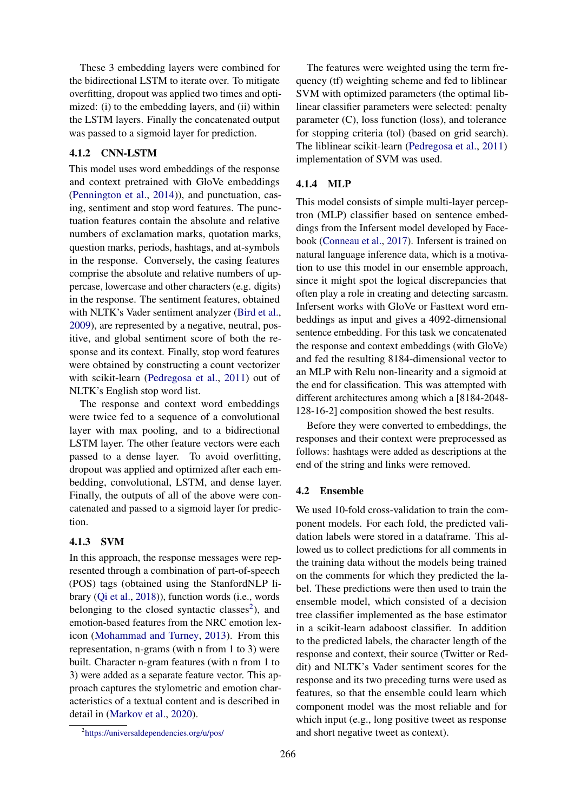These 3 embedding layers were combined for the bidirectional LSTM to iterate over. To mitigate overfitting, dropout was applied two times and optimized: (i) to the embedding layers, and (ii) within the LSTM layers. Finally the concatenated output was passed to a sigmoid layer for prediction.

# 4.1.2 CNN-LSTM

This model uses word embeddings of the response and context pretrained with GloVe embeddings [\(Pennington et al.,](#page-4-8) [2014\)](#page-4-8)), and punctuation, casing, sentiment and stop word features. The punctuation features contain the absolute and relative numbers of exclamation marks, quotation marks, question marks, periods, hashtags, and at-symbols in the response. Conversely, the casing features comprise the absolute and relative numbers of uppercase, lowercase and other characters (e.g. digits) in the response. The sentiment features, obtained with NLTK's Vader sentiment analyzer [\(Bird et al.,](#page-4-11) [2009\)](#page-4-11), are represented by a negative, neutral, positive, and global sentiment score of both the response and its context. Finally, stop word features were obtained by constructing a count vectorizer with scikit-learn [\(Pedregosa et al.,](#page-4-12) [2011\)](#page-4-12) out of NLTK's English stop word list.

The response and context word embeddings were twice fed to a sequence of a convolutional layer with max pooling, and to a bidirectional LSTM layer. The other feature vectors were each passed to a dense layer. To avoid overfitting, dropout was applied and optimized after each embedding, convolutional, LSTM, and dense layer. Finally, the outputs of all of the above were concatenated and passed to a sigmoid layer for prediction.

# <span id="page-2-0"></span>4.1.3 SVM

In this approach, the response messages were represented through a combination of part-of-speech (POS) tags (obtained using the StanfordNLP library [\(Qi et al.,](#page-4-13) [2018\)](#page-4-13)), function words (i.e., words belonging to the closed syntactic classes $2$ ), and emotion-based features from the NRC emotion lexicon [\(Mohammad and Turney,](#page-4-14) [2013\)](#page-4-14). From this representation, n-grams (with n from 1 to 3) were built. Character n-gram features (with n from 1 to 3) were added as a separate feature vector. This approach captures the stylometric and emotion characteristics of a textual content and is described in detail in [\(Markov et al.,](#page-4-15) [2020\)](#page-4-15).

The features were weighted using the term frequency (tf) weighting scheme and fed to liblinear SVM with optimized parameters (the optimal liblinear classifier parameters were selected: penalty parameter (C), loss function (loss), and tolerance for stopping criteria (tol) (based on grid search). The liblinear scikit-learn [\(Pedregosa et al.,](#page-4-12) [2011\)](#page-4-12) implementation of SVM was used.

# 4.1.4 MLP

This model consists of simple multi-layer perceptron (MLP) classifier based on sentence embeddings from the Infersent model developed by Facebook [\(Conneau et al.,](#page-4-16) [2017\)](#page-4-16). Infersent is trained on natural language inference data, which is a motivation to use this model in our ensemble approach, since it might spot the logical discrepancies that often play a role in creating and detecting sarcasm. Infersent works with GloVe or Fasttext word embeddings as input and gives a 4092-dimensional sentence embedding. For this task we concatenated the response and context embeddings (with GloVe) and fed the resulting 8184-dimensional vector to an MLP with Relu non-linearity and a sigmoid at the end for classification. This was attempted with different architectures among which a [8184-2048- 128-16-2] composition showed the best results.

Before they were converted to embeddings, the responses and their context were preprocessed as follows: hashtags were added as descriptions at the end of the string and links were removed.

## 4.2 Ensemble

We used 10-fold cross-validation to train the component models. For each fold, the predicted validation labels were stored in a dataframe. This allowed us to collect predictions for all comments in the training data without the models being trained on the comments for which they predicted the label. These predictions were then used to train the ensemble model, which consisted of a decision tree classifier implemented as the base estimator in a scikit-learn adaboost classifier. In addition to the predicted labels, the character length of the response and context, their source (Twitter or Reddit) and NLTK's Vader sentiment scores for the response and its two preceding turns were used as features, so that the ensemble could learn which component model was the most reliable and for which input (e.g., long positive tweet as response and short negative tweet as context).

<span id="page-2-1"></span><sup>2</sup> <https://universaldependencies.org/u/pos/>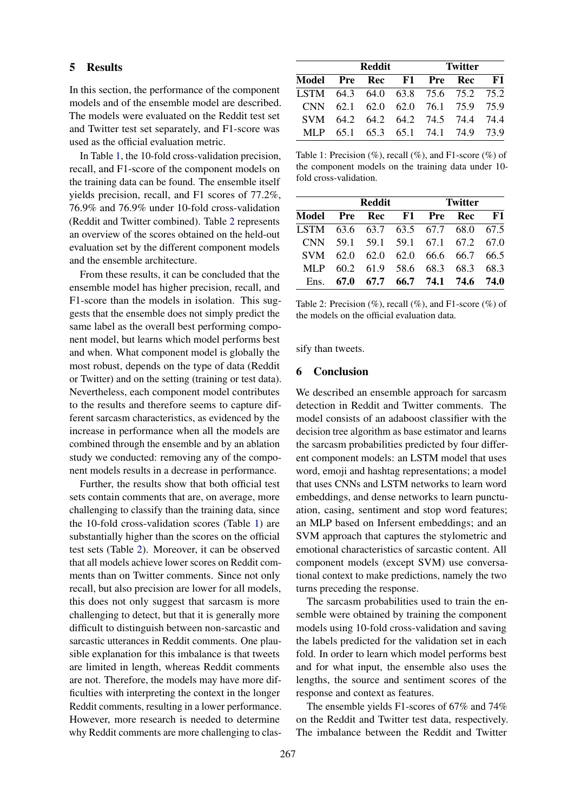### 5 Results

In this section, the performance of the component models and of the ensemble model are described. The models were evaluated on the Reddit test set and Twitter test set separately, and F1-score was used as the official evaluation metric.

In Table [1,](#page-3-0) the 10-fold cross-validation precision, recall, and F1-score of the component models on the training data can be found. The ensemble itself yields precision, recall, and F1 scores of 77.2%, 76.9% and 76.9% under 10-fold cross-validation (Reddit and Twitter combined). Table [2](#page-3-1) represents an overview of the scores obtained on the held-out evaluation set by the different component models and the ensemble architecture.

From these results, it can be concluded that the ensemble model has higher precision, recall, and F1-score than the models in isolation. This suggests that the ensemble does not simply predict the same label as the overall best performing component model, but learns which model performs best and when. What component model is globally the most robust, depends on the type of data (Reddit or Twitter) and on the setting (training or test data). Nevertheless, each component model contributes to the results and therefore seems to capture different sarcasm characteristics, as evidenced by the increase in performance when all the models are combined through the ensemble and by an ablation study we conducted: removing any of the component models results in a decrease in performance.

Further, the results show that both official test sets contain comments that are, on average, more challenging to classify than the training data, since the 10-fold cross-validation scores (Table [1\)](#page-3-0) are substantially higher than the scores on the official test sets (Table [2\)](#page-3-1). Moreover, it can be observed that all models achieve lower scores on Reddit comments than on Twitter comments. Since not only recall, but also precision are lower for all models, this does not only suggest that sarcasm is more challenging to detect, but that it is generally more difficult to distinguish between non-sarcastic and sarcastic utterances in Reddit comments. One plausible explanation for this imbalance is that tweets are limited in length, whereas Reddit comments are not. Therefore, the models may have more difficulties with interpreting the context in the longer Reddit comments, resulting in a lower performance. However, more research is needed to determine why Reddit comments are more challenging to clas-

<span id="page-3-0"></span>

| Model Pre Rec F1 Pre Rec           |                                   | <b>Reddit</b>                 | <b>Twitter</b> |  |      |  |
|------------------------------------|-----------------------------------|-------------------------------|----------------|--|------|--|
|                                    |                                   |                               |                |  | - F1 |  |
| LSTM 64.3 64.0 63.8 75.6 75.2 75.2 |                                   |                               |                |  |      |  |
|                                    | CNN 62.1 62.0 62.0 76.1 75.9 75.9 |                               |                |  |      |  |
|                                    | SVM 64.2 64.2 64.2 74.5 74.4 74.4 |                               |                |  |      |  |
| MLP —                              |                                   | 65.1 65.3 65.1 74.1 74.9 73.9 |                |  |      |  |

Table 1: Precision  $(\%)$ , recall  $(\%)$ , and F1-score  $(\%)$  of the component models on the training data under 10 fold cross-validation.

<span id="page-3-1"></span>

| Model Pre Rec F1 Pre Rec           | Reddit                             |  |  | Twitter |                               |      |
|------------------------------------|------------------------------------|--|--|---------|-------------------------------|------|
|                                    |                                    |  |  |         |                               | - F1 |
| LSTM 63.6 63.7 63.5 67.7 68.0 67.5 |                                    |  |  |         |                               |      |
|                                    | CNN 59.1 59.1 59.1 67.1 67.2 67.0  |  |  |         |                               |      |
|                                    | SVM 62.0 62.0 62.0 66.6 66.7 66.5  |  |  |         |                               |      |
| MLP —                              |                                    |  |  |         | 60.2 61.9 58.6 68.3 68.3 68.3 |      |
|                                    | Ens. 67.0 67.7 66.7 74.1 74.6 74.0 |  |  |         |                               |      |

Table 2: Precision  $(\%)$ , recall  $(\%)$ , and F1-score  $(\%)$  of the models on the official evaluation data.

sify than tweets.

### 6 Conclusion

We described an ensemble approach for sarcasm detection in Reddit and Twitter comments. The model consists of an adaboost classifier with the decision tree algorithm as base estimator and learns the sarcasm probabilities predicted by four different component models: an LSTM model that uses word, emoji and hashtag representations; a model that uses CNNs and LSTM networks to learn word embeddings, and dense networks to learn punctuation, casing, sentiment and stop word features; an MLP based on Infersent embeddings; and an SVM approach that captures the stylometric and emotional characteristics of sarcastic content. All component models (except SVM) use conversational context to make predictions, namely the two turns preceding the response.

The sarcasm probabilities used to train the ensemble were obtained by training the component models using 10-fold cross-validation and saving the labels predicted for the validation set in each fold. In order to learn which model performs best and for what input, the ensemble also uses the lengths, the source and sentiment scores of the response and context as features.

The ensemble yields F1-scores of 67% and 74% on the Reddit and Twitter test data, respectively. The imbalance between the Reddit and Twitter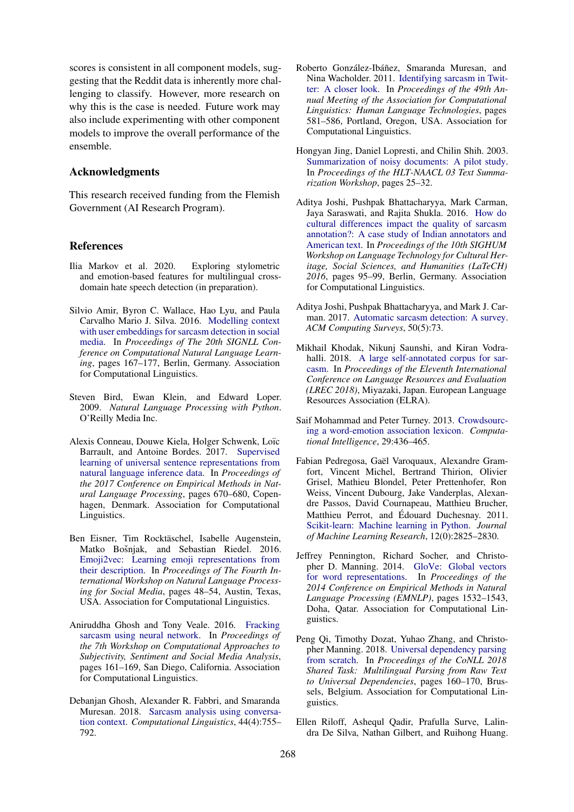scores is consistent in all component models, suggesting that the Reddit data is inherently more challenging to classify. However, more research on why this is the case is needed. Future work may also include experimenting with other component models to improve the overall performance of the ensemble.

### Acknowledgments

This research received funding from the Flemish Government (AI Research Program).

### References

- <span id="page-4-15"></span>Ilia Markov et al. 2020. Exploring stylometric and emotion-based features for multilingual crossdomain hate speech detection (in preparation).
- <span id="page-4-6"></span>Silvio Amir, Byron C. Wallace, Hao Lyu, and Paula Carvalho Mario J. Silva. 2016. [Modelling context](https://doi.org/10.18653/v1/K16-1017) [with user embeddings for sarcasm detection in social](https://doi.org/10.18653/v1/K16-1017) [media.](https://doi.org/10.18653/v1/K16-1017) In *Proceedings of The 20th SIGNLL Conference on Computational Natural Language Learning*, pages 167–177, Berlin, Germany. Association for Computational Linguistics.
- <span id="page-4-11"></span>Steven Bird, Ewan Klein, and Edward Loper. 2009. *Natural Language Processing with Python*. O'Reilly Media Inc.
- <span id="page-4-16"></span>Alexis Conneau, Douwe Kiela, Holger Schwenk, Loïc Barrault, and Antoine Bordes. 2017. [Supervised](https://www.aclweb.org/anthology/D17-1070) [learning of universal sentence representations from](https://www.aclweb.org/anthology/D17-1070) [natural language inference data.](https://www.aclweb.org/anthology/D17-1070) In *Proceedings of the 2017 Conference on Empirical Methods in Natural Language Processing*, pages 670–680, Copenhagen, Denmark. Association for Computational Linguistics.
- <span id="page-4-9"></span>Ben Eisner, Tim Rocktäschel, Isabelle Augenstein, Matko Bošnjak, and Sebastian Riedel. 2016. [Emoji2vec: Learning emoji representations from](https://doi.org/10.18653/v1/W16-6208) [their description.](https://doi.org/10.18653/v1/W16-6208) In *Proceedings of The Fourth International Workshop on Natural Language Processing for Social Media*, pages 48–54, Austin, Texas, USA. Association for Computational Linguistics.
- <span id="page-4-5"></span>Aniruddha Ghosh and Tony Veale. 2016. [Fracking](https://doi.org/10.18653/v1/W16-0425) [sarcasm using neural network.](https://doi.org/10.18653/v1/W16-0425) In *Proceedings of the 7th Workshop on Computational Approaches to Subjectivity, Sentiment and Social Media Analysis*, pages 161–169, San Diego, California. Association for Computational Linguistics.
- <span id="page-4-0"></span>Debanjan Ghosh, Alexander R. Fabbri, and Smaranda Muresan. 2018. [Sarcasm analysis using conversa](https://doi.org/10.1162/coli_a_00336)[tion context.](https://doi.org/10.1162/coli_a_00336) *Computational Linguistics*, 44(4):755– 792.
- <span id="page-4-2"></span>Roberto González-Ibáñez, Smaranda Muresan, and Nina Wacholder. 2011. [Identifying sarcasm in Twit](https://www.aclweb.org/anthology/P11-2102)[ter: A closer look.](https://www.aclweb.org/anthology/P11-2102) In *Proceedings of the 49th Annual Meeting of the Association for Computational Linguistics: Human Language Technologies*, pages 581–586, Portland, Oregon, USA. Association for Computational Linguistics.
- <span id="page-4-10"></span>Hongyan Jing, Daniel Lopresti, and Chilin Shih. 2003. [Summarization of noisy documents: A pilot study.](https://www.aclweb.org/anthology/W03-0504) In *Proceedings of the HLT-NAACL 03 Text Summarization Workshop*, pages 25–32.
- <span id="page-4-4"></span>Aditya Joshi, Pushpak Bhattacharyya, Mark Carman, Jaya Saraswati, and Rajita Shukla. 2016. [How do](https://doi.org/10.18653/v1/W16-2111) [cultural differences impact the quality of sarcasm](https://doi.org/10.18653/v1/W16-2111) [annotation?: A case study of Indian annotators and](https://doi.org/10.18653/v1/W16-2111) [American text.](https://doi.org/10.18653/v1/W16-2111) In *Proceedings of the 10th SIGHUM Workshop on Language Technology for Cultural Heritage, Social Sciences, and Humanities (LaTeCH) 2016*, pages 95–99, Berlin, Germany. Association for Computational Linguistics.
- <span id="page-4-1"></span>Aditya Joshi, Pushpak Bhattacharyya, and Mark J. Carman. 2017. [Automatic sarcasm detection: A survey.](https://doi.org/10.1145/3124420) *ACM Computing Surveys*, 50(5):73.
- <span id="page-4-7"></span>Mikhail Khodak, Nikunj Saunshi, and Kiran Vodrahalli. 2018. [A large self-annotated corpus for sar](https://www.aclweb.org/anthology/L18-1102)[casm.](https://www.aclweb.org/anthology/L18-1102) In *Proceedings of the Eleventh International Conference on Language Resources and Evaluation (LREC 2018)*, Miyazaki, Japan. European Language Resources Association (ELRA).
- <span id="page-4-14"></span>Saif Mohammad and Peter Turney. 2013. [Crowdsourc](https://doi.org/10.1111/j.1467-8640.2012.00460.x)[ing a word-emotion association lexicon.](https://doi.org/10.1111/j.1467-8640.2012.00460.x) *Computational Intelligence*, 29:436–465.
- <span id="page-4-12"></span>Fabian Pedregosa, Gaël Varoquaux, Alexandre Gramfort, Vincent Michel, Bertrand Thirion, Olivier Grisel, Mathieu Blondel, Peter Prettenhofer, Ron Weiss, Vincent Dubourg, Jake Vanderplas, Alexandre Passos, David Cournapeau, Matthieu Brucher, Matthieu Perrot, and Édouard Duchesnay. 2011. [Scikit-learn: Machine learning in Python.](https://www.aclweb.org/anthology/L18-1102) *Journal of Machine Learning Research*, 12(0):2825–2830.
- <span id="page-4-8"></span>Jeffrey Pennington, Richard Socher, and Christopher D. Manning. 2014. [GloVe: Global vectors](https://doi.org/10.3115/v1/D14-1162) [for word representations.](https://doi.org/10.3115/v1/D14-1162) In *Proceedings of the 2014 Conference on Empirical Methods in Natural Language Processing (EMNLP)*, pages 1532–1543, Doha, Qatar. Association for Computational Linguistics.
- <span id="page-4-13"></span>Peng Qi, Timothy Dozat, Yuhao Zhang, and Christopher Manning. 2018. [Universal dependency parsing](https://doi.org/10.18653/v1/K18-2016) [from scratch.](https://doi.org/10.18653/v1/K18-2016) In *Proceedings of the CoNLL 2018 Shared Task: Multilingual Parsing from Raw Text to Universal Dependencies*, pages 160–170, Brussels, Belgium. Association for Computational Linguistics.
- <span id="page-4-3"></span>Ellen Riloff, Ashequl Qadir, Prafulla Surve, Lalindra De Silva, Nathan Gilbert, and Ruihong Huang.